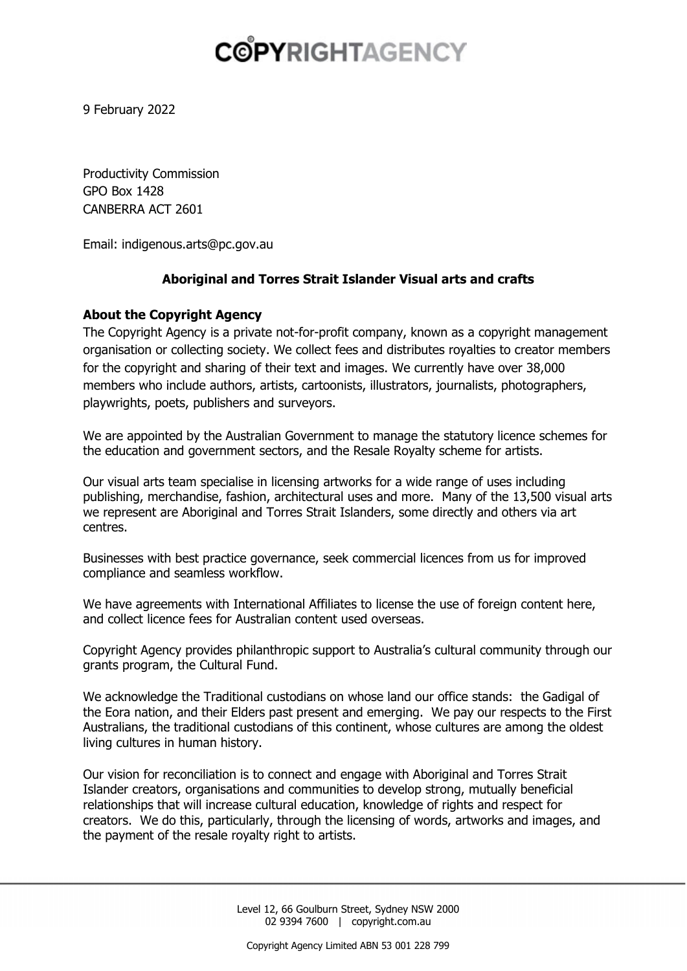9 February 2022

Productivity Commission GPO Box 1428 CANBERRA ACT 2601

Email: indigenous.arts@pc.gov.au

### **Aboriginal and Torres Strait Islander Visual arts and crafts**

### **About the Copyright Agency**

The Copyright Agency is a private not-for-profit company, known as a copyright management organisation or collecting society. We collect fees and distributes royalties to creator members for the copyright and sharing of their text and images. We currently have over 38,000 members who include authors, artists, cartoonists, illustrators, journalists, photographers, playwrights, poets, publishers and surveyors.

We are appointed by the Australian Government to manage the statutory licence schemes for the education and government sectors, and the Resale Royalty scheme for artists.

Our visual arts team specialise in licensing artworks for a wide range of uses including publishing, merchandise, fashion, architectural uses and more. Many of the 13,500 visual arts we represent are Aboriginal and Torres Strait Islanders, some directly and others via art centres.

Businesses with best practice governance, seek commercial licences from us for improved compliance and seamless workflow.

We have agreements with International Affiliates to license the use of foreign content here, and collect licence fees for Australian content used overseas.

Copyright Agency provides philanthropic support to Australia's cultural community through our grants program, the Cultural Fund.

We acknowledge the Traditional custodians on whose land our office stands: the Gadigal of the Eora nation, and their Elders past present and emerging. We pay our respects to the First Australians, the traditional custodians of this continent, whose cultures are among the oldest living cultures in human history.

Our vision for reconciliation is to connect and engage with Aboriginal and Torres Strait Islander creators, organisations and communities to develop strong, mutually beneficial relationships that will increase cultural education, knowledge of rights and respect for creators. We do this, particularly, through the licensing of words, artworks and images, and the payment of the resale royalty right to artists.

> Level 12, 66 Goulburn Street, Sydney NSW 2000 02 9394 7600 | copyright.com.au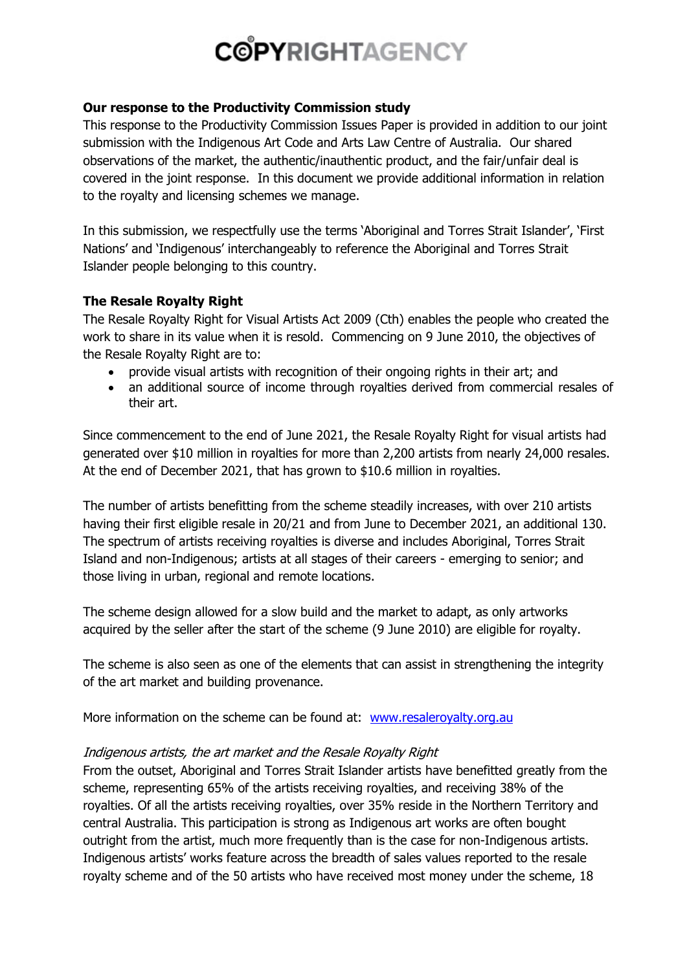#### **Our response to the Productivity Commission study**

This response to the Productivity Commission Issues Paper is provided in addition to our joint submission with the Indigenous Art Code and Arts Law Centre of Australia. Our shared observations of the market, the authentic/inauthentic product, and the fair/unfair deal is covered in the joint response. In this document we provide additional information in relation to the royalty and licensing schemes we manage.

In this submission, we respectfully use the terms 'Aboriginal and Torres Strait Islander', 'First Nations' and 'Indigenous' interchangeably to reference the Aboriginal and Torres Strait Islander people belonging to this country.

### **The Resale Royalty Right**

The Resale Royalty Right for Visual Artists Act 2009 (Cth) enables the people who created the work to share in its value when it is resold. Commencing on 9 June 2010, the objectives of the Resale Royalty Right are to:

- provide visual artists with recognition of their ongoing rights in their art; and
- an additional source of income through royalties derived from commercial resales of their art.

Since commencement to the end of June 2021, the Resale Royalty Right for visual artists had generated over \$10 million in royalties for more than 2,200 artists from nearly 24,000 resales. At the end of December 2021, that has grown to \$10.6 million in royalties.

The number of artists benefitting from the scheme steadily increases, with over 210 artists having their first eligible resale in 20/21 and from June to December 2021, an additional 130. The spectrum of artists receiving royalties is diverse and includes Aboriginal, Torres Strait Island and non-Indigenous; artists at all stages of their careers - emerging to senior; and those living in urban, regional and remote locations.

The scheme design allowed for a slow build and the market to adapt, as only artworks acquired by the seller after the start of the scheme (9 June 2010) are eligible for royalty.

The scheme is also seen as one of the elements that can assist in strengthening the integrity of the art market and building provenance.

More information on the scheme can be found at: www.resaleroyalty.org.au

### Indigenous artists, the art market and the Resale Royalty Right

From the outset, Aboriginal and Torres Strait Islander artists have benefitted greatly from the scheme, representing 65% of the artists receiving royalties, and receiving 38% of the royalties. Of all the artists receiving royalties, over 35% reside in the Northern Territory and central Australia. This participation is strong as Indigenous art works are often bought outright from the artist, much more frequently than is the case for non-Indigenous artists. Indigenous artists' works feature across the breadth of sales values reported to the resale royalty scheme and of the 50 artists who have received most money under the scheme, 18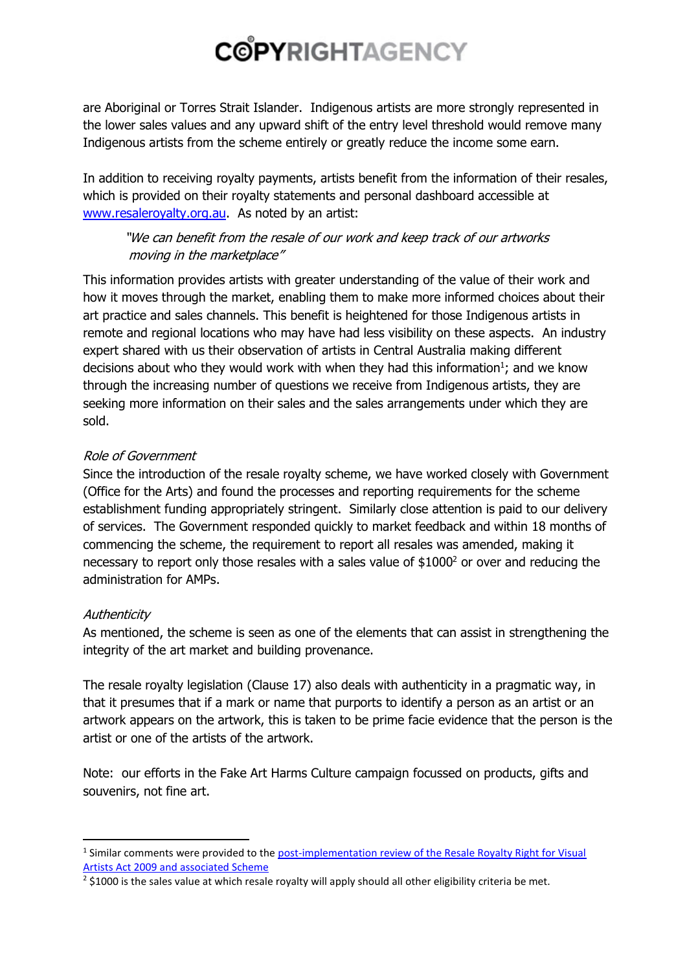are Aboriginal or Torres Strait Islander. Indigenous artists are more strongly represented in the lower sales values and any upward shift of the entry level threshold would remove many Indigenous artists from the scheme entirely or greatly reduce the income some earn.

In addition to receiving royalty payments, artists benefit from the information of their resales, which is provided on their royalty statements and personal dashboard accessible at www.resaleroyalty.org.au. As noted by an artist:

## "We can benefit from the resale of our work and keep track of our artworks moving in the marketplace"

This information provides artists with greater understanding of the value of their work and how it moves through the market, enabling them to make more informed choices about their art practice and sales channels. This benefit is heightened for those Indigenous artists in remote and regional locations who may have had less visibility on these aspects. An industry expert shared with us their observation of artists in Central Australia making different decisions about who they would work with when they had this information<sup>1</sup>; and we know through the increasing number of questions we receive from Indigenous artists, they are seeking more information on their sales and the sales arrangements under which they are sold.

### Role of Government

Since the introduction of the resale royalty scheme, we have worked closely with Government (Office for the Arts) and found the processes and reporting requirements for the scheme establishment funding appropriately stringent. Similarly close attention is paid to our delivery of services. The Government responded quickly to market feedback and within 18 months of commencing the scheme, the requirement to report all resales was amended, making it necessary to report only those resales with a sales value of \$1000<sup>2</sup> or over and reducing the administration for AMPs.

## **Authenticity**

As mentioned, the scheme is seen as one of the elements that can assist in strengthening the integrity of the art market and building provenance.

The resale royalty legislation (Clause 17) also deals with authenticity in a pragmatic way, in that it presumes that if a mark or name that purports to identify a person as an artist or an artwork appears on the artwork, this is taken to be prime facie evidence that the person is the artist or one of the artists of the artwork.

Note: our efforts in the Fake Art Harms Culture campaign focussed on products, gifts and souvenirs, not fine art.

<sup>&</sup>lt;sup>1</sup> Similar comments were provided to the post-implementation review of the Resale Royalty Right for Visual Artists Act 2009 and associated Scheme

<sup>&</sup>lt;sup>2</sup> \$1000 is the sales value at which resale royalty will apply should all other eligibility criteria be met.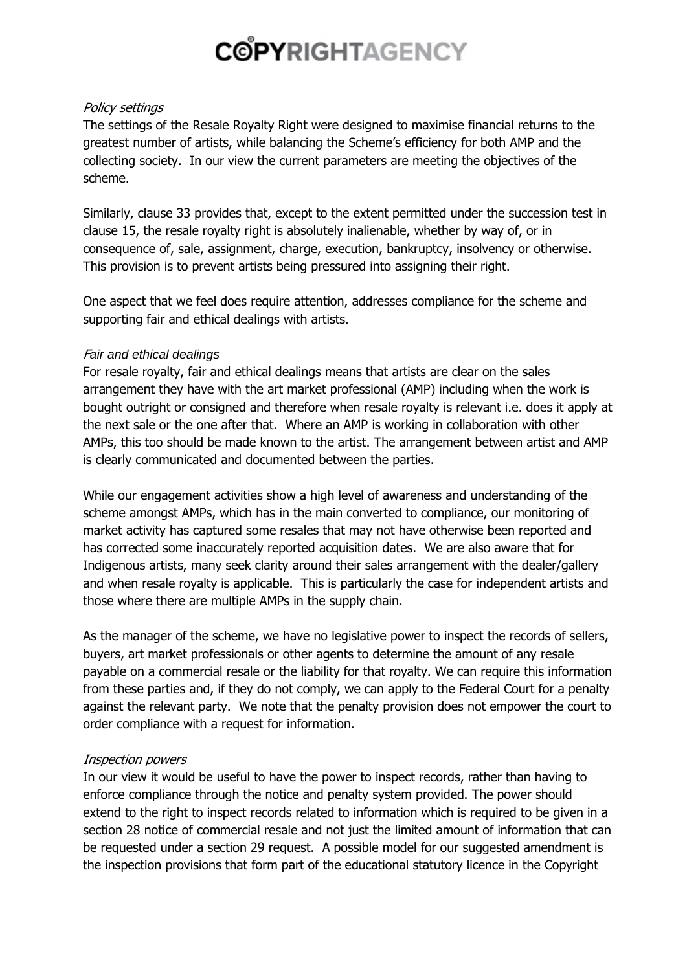#### Policy settings

The settings of the Resale Royalty Right were designed to maximise financial returns to the greatest number of artists, while balancing the Scheme's efficiency for both AMP and the collecting society. In our view the current parameters are meeting the objectives of the scheme.

Similarly, clause 33 provides that, except to the extent permitted under the succession test in clause 15, the resale royalty right is absolutely inalienable, whether by way of, or in consequence of, sale, assignment, charge, execution, bankruptcy, insolvency or otherwise. This provision is to prevent artists being pressured into assigning their right.

One aspect that we feel does require attention, addresses compliance for the scheme and supporting fair and ethical dealings with artists.

### F*air and ethical dealings*

For resale royalty, fair and ethical dealings means that artists are clear on the sales arrangement they have with the art market professional (AMP) including when the work is bought outright or consigned and therefore when resale royalty is relevant i.e. does it apply at the next sale or the one after that. Where an AMP is working in collaboration with other AMPs, this too should be made known to the artist. The arrangement between artist and AMP is clearly communicated and documented between the parties.

While our engagement activities show a high level of awareness and understanding of the scheme amongst AMPs, which has in the main converted to compliance, our monitoring of market activity has captured some resales that may not have otherwise been reported and has corrected some inaccurately reported acquisition dates. We are also aware that for Indigenous artists, many seek clarity around their sales arrangement with the dealer/gallery and when resale royalty is applicable. This is particularly the case for independent artists and those where there are multiple AMPs in the supply chain.

As the manager of the scheme, we have no legislative power to inspect the records of sellers, buyers, art market professionals or other agents to determine the amount of any resale payable on a commercial resale or the liability for that royalty. We can require this information from these parties and, if they do not comply, we can apply to the Federal Court for a penalty against the relevant party. We note that the penalty provision does not empower the court to order compliance with a request for information.

### Inspection powers

In our view it would be useful to have the power to inspect records, rather than having to enforce compliance through the notice and penalty system provided. The power should extend to the right to inspect records related to information which is required to be given in a section 28 notice of commercial resale and not just the limited amount of information that can be requested under a section 29 request. A possible model for our suggested amendment is the inspection provisions that form part of the educational statutory licence in the Copyright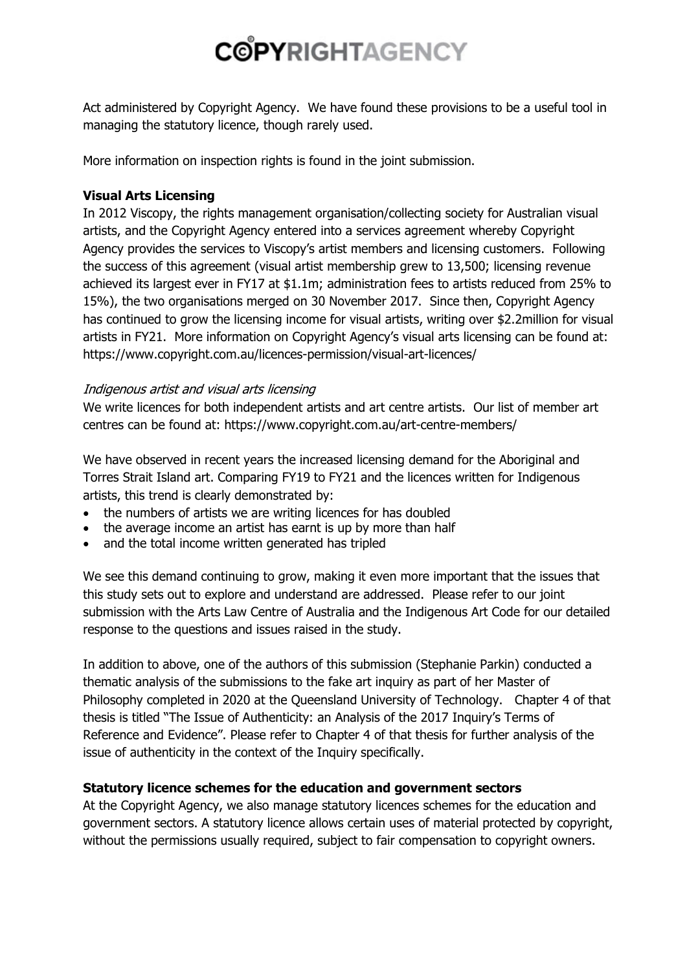Act administered by Copyright Agency. We have found these provisions to be a useful tool in managing the statutory licence, though rarely used.

More information on inspection rights is found in the joint submission.

## **Visual Arts Licensing**

In 2012 Viscopy, the rights management organisation/collecting society for Australian visual artists, and the Copyright Agency entered into a services agreement whereby Copyright Agency provides the services to Viscopy's artist members and licensing customers. Following the success of this agreement (visual artist membership grew to 13,500; licensing revenue achieved its largest ever in FY17 at \$1.1m; administration fees to artists reduced from 25% to 15%), the two organisations merged on 30 November 2017. Since then, Copyright Agency has continued to grow the licensing income for visual artists, writing over \$2.2million for visual artists in FY21. More information on Copyright Agency's visual arts licensing can be found at: https://www.copyright.com.au/licences-permission/visual-art-licences/

### Indigenous artist and visual arts licensing

We write licences for both independent artists and art centre artists. Our list of member art centres can be found at: https://www.copyright.com.au/art-centre-members/

We have observed in recent years the increased licensing demand for the Aboriginal and Torres Strait Island art. Comparing FY19 to FY21 and the licences written for Indigenous artists, this trend is clearly demonstrated by:

- the numbers of artists we are writing licences for has doubled
- the average income an artist has earnt is up by more than half
- and the total income written generated has tripled

We see this demand continuing to grow, making it even more important that the issues that this study sets out to explore and understand are addressed. Please refer to our joint submission with the Arts Law Centre of Australia and the Indigenous Art Code for our detailed response to the questions and issues raised in the study.

In addition to above, one of the authors of this submission (Stephanie Parkin) conducted a thematic analysis of the submissions to the fake art inquiry as part of her Master of Philosophy completed in 2020 at the Queensland University of Technology. Chapter 4 of that thesis is titled "The Issue of Authenticity: an Analysis of the 2017 Inquiry's Terms of Reference and Evidence". Please refer to Chapter 4 of that thesis for further analysis of the issue of authenticity in the context of the Inquiry specifically.

## **Statutory licence schemes for the education and government sectors**

At the Copyright Agency, we also manage statutory licences schemes for the education and government sectors. A statutory licence allows certain uses of material protected by copyright, without the permissions usually required, subject to fair compensation to copyright owners.